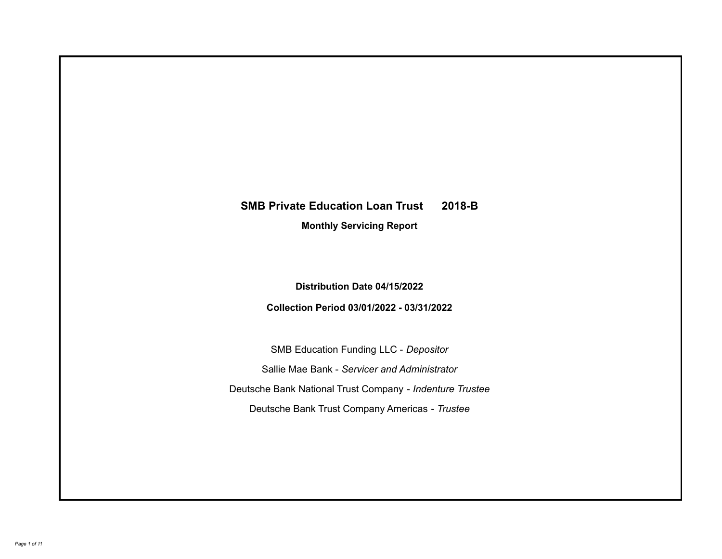# **SMB Private Education Loan Trust 2018-B**

**Monthly Servicing Report**

**Distribution Date 04/15/2022**

**Collection Period 03/01/2022 - 03/31/2022**

SMB Education Funding LLC - *Depositor* Sallie Mae Bank - *Servicer and Administrator* Deutsche Bank National Trust Company - *Indenture Trustee* Deutsche Bank Trust Company Americas - *Trustee*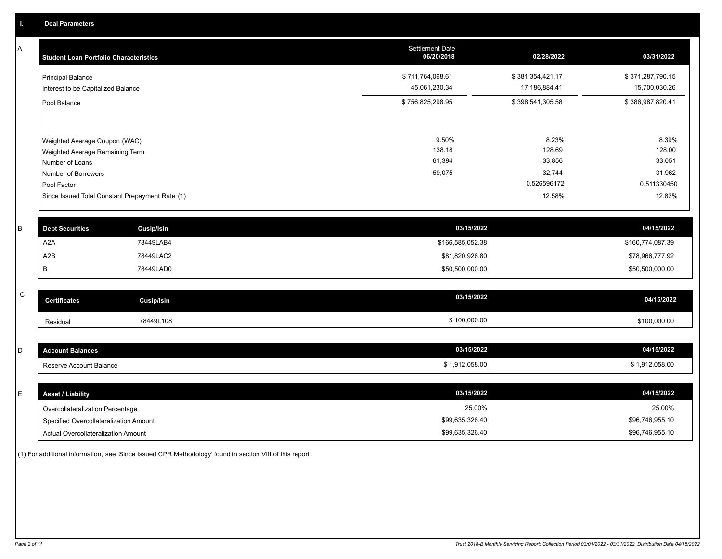A

| A | <b>Student Loan Portfolio Characteristics</b>                    |                                                 | Settlement Date<br>06/20/2018     | 02/28/2022                        | 03/31/2022                        |
|---|------------------------------------------------------------------|-------------------------------------------------|-----------------------------------|-----------------------------------|-----------------------------------|
|   | <b>Principal Balance</b><br>Interest to be Capitalized Balance   |                                                 | \$711,764,068.61<br>45,061,230.34 | \$381,354,421.17<br>17,186,884.41 | \$371,287,790.15<br>15,700,030.26 |
|   | Pool Balance                                                     |                                                 | \$756,825,298.95                  | \$398,541,305.58                  | \$386,987,820.41                  |
|   | Weighted Average Coupon (WAC)<br>Weighted Average Remaining Term |                                                 | 9.50%<br>138.18                   | 8.23%<br>128.69                   | 8.39%<br>128.00                   |
|   | Number of Loans                                                  |                                                 | 61,394                            | 33,856                            | 33,051                            |
|   | Number of Borrowers<br>Pool Factor                               |                                                 | 59,075                            | 32,744<br>0.526596172             | 31,962<br>0.511330450             |
|   |                                                                  | Since Issued Total Constant Prepayment Rate (1) |                                   | 12.58%                            | 12.82%                            |
| B | <b>Debt Securities</b>                                           | <b>Cusip/Isin</b>                               | 03/15/2022                        |                                   | 04/15/2022                        |
|   | A <sub>2</sub> A                                                 | 78449LAB4                                       | \$166,585,052.38                  |                                   | \$160,774,087.39                  |
|   | A2B                                                              | 78449LAC2                                       | \$81,820,926.80                   |                                   | \$78,966,777.92                   |
|   | В                                                                | 78449LAD0                                       | \$50,500,000.00                   |                                   | \$50,500,000.00                   |

| C | <b>Certificates</b> | Cusip/Isin | 03/15/2022   | 04/15/2022   |
|---|---------------------|------------|--------------|--------------|
|   | Residual            | 78449L108  | \$100,000.00 | \$100,000.00 |

| count Balances<br>$\sim$ | 03/15/2022   | 04/15/2022   |
|--------------------------|--------------|--------------|
| Reserve Account Balance  | 1,912,058.00 | 1.912.058.00 |

| <b>Asset / Liability</b>               | 03/15/2022      | 04/15/2022      |
|----------------------------------------|-----------------|-----------------|
| Overcollateralization Percentage       | 25.00%          | 25.00%          |
| Specified Overcollateralization Amount | \$99,635,326.40 | \$96,746,955.10 |
| Actual Overcollateralization Amount    | \$99,635,326.40 | \$96,746,955.10 |

(1) For additional information, see 'Since Issued CPR Methodology' found in section VIII of this report .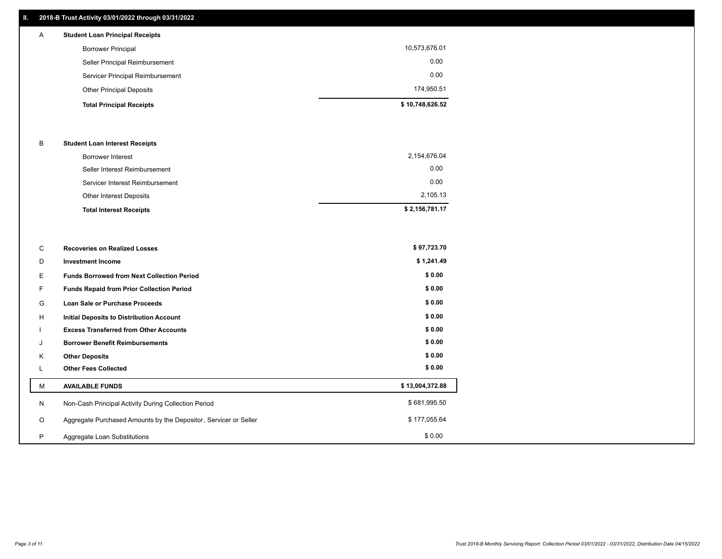## **II. 2018-B Trust Activity 03/01/2022 through 03/31/2022**

| $\mathsf{A}$ | <b>Student Loan Principal Receipts</b> |                 |
|--------------|----------------------------------------|-----------------|
|              | <b>Borrower Principal</b>              | 10,573,676.01   |
|              | Seller Principal Reimbursement         | 0.00            |
|              | Servicer Principal Reimbursement       | 0.00            |
|              | <b>Other Principal Deposits</b>        | 174,950.51      |
|              | <b>Total Principal Receipts</b>        | \$10,748,626.52 |

#### B **Student Loan Interest Receipts**

| <b>Total Interest Receipts</b>  | \$2,156,781.17 |
|---------------------------------|----------------|
| Other Interest Deposits         | 2,105.13       |
| Servicer Interest Reimbursement | 0.00           |
| Seller Interest Reimbursement   | 0.00           |
| <b>Borrower Interest</b>        | 2,154,676.04   |

| С       | <b>Recoveries on Realized Losses</b>                             | \$97,723.70     |
|---------|------------------------------------------------------------------|-----------------|
| D       | <b>Investment Income</b>                                         | \$1,241.49      |
| E.      | <b>Funds Borrowed from Next Collection Period</b>                | \$0.00          |
| F.      | <b>Funds Repaid from Prior Collection Period</b>                 | \$0.00          |
| G       | Loan Sale or Purchase Proceeds                                   | \$0.00          |
| H       | <b>Initial Deposits to Distribution Account</b>                  | \$0.00          |
|         | <b>Excess Transferred from Other Accounts</b>                    | \$0.00          |
| J       | <b>Borrower Benefit Reimbursements</b>                           | \$0.00          |
| K       | <b>Other Deposits</b>                                            | \$0.00          |
| ъ.      | <b>Other Fees Collected</b>                                      | \$0.00          |
| м       | <b>AVAILABLE FUNDS</b>                                           | \$13,004,372.88 |
| N       | Non-Cash Principal Activity During Collection Period             | \$681,995.50    |
| $\circ$ | Aggregate Purchased Amounts by the Depositor, Servicer or Seller | \$177,055.64    |
| P       | Aggregate Loan Substitutions                                     | \$0.00          |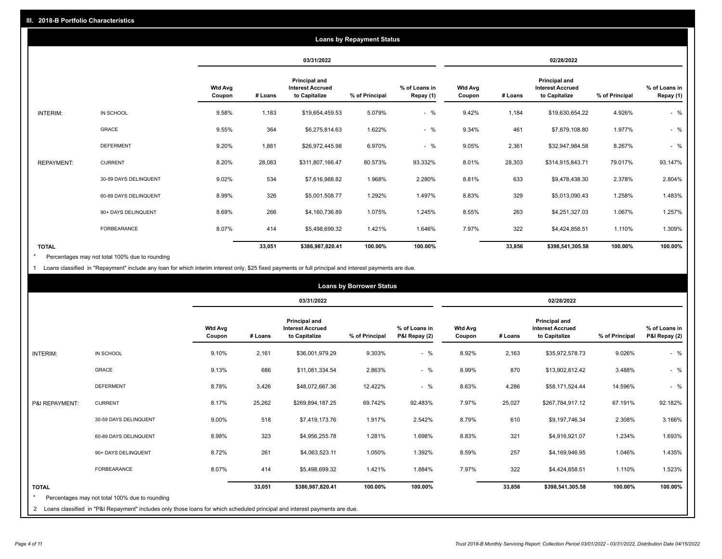| <b>Loans by Repayment Status</b> |                       |                          |            |                                                           |                |                            |                          |         |                                                           |                |                            |
|----------------------------------|-----------------------|--------------------------|------------|-----------------------------------------------------------|----------------|----------------------------|--------------------------|---------|-----------------------------------------------------------|----------------|----------------------------|
|                                  |                       |                          | 03/31/2022 |                                                           |                |                            | 02/28/2022               |         |                                                           |                |                            |
|                                  |                       | <b>Wtd Avg</b><br>Coupon | # Loans    | Principal and<br><b>Interest Accrued</b><br>to Capitalize | % of Principal | % of Loans in<br>Repay (1) | <b>Wtd Avg</b><br>Coupon | # Loans | Principal and<br><b>Interest Accrued</b><br>to Capitalize | % of Principal | % of Loans in<br>Repay (1) |
| INTERIM:                         | IN SCHOOL             | 9.58%                    | 1,183      | \$19,654,459.53                                           | 5.079%         | $-$ %                      | 9.42%                    | 1,184   | \$19,630,654.22                                           | 4.926%         | $-$ %                      |
|                                  | GRACE                 | 9.55%                    | 364        | \$6,275,814.63                                            | 1.622%         | $-$ %                      | 9.34%                    | 461     | \$7,879,108.80                                            | 1.977%         | $-$ %                      |
|                                  | <b>DEFERMENT</b>      | 9.20%                    | 1,881      | \$26,972,445.98                                           | 6.970%         | $-$ %                      | 9.05%                    | 2,361   | \$32,947,984.58                                           | 8.267%         | $-$ %                      |
| <b>REPAYMENT:</b>                | <b>CURRENT</b>        | 8.20%                    | 28,083     | \$311,807,166.47                                          | 80.573%        | 93.332%                    | 8.01%                    | 28,303  | \$314,915,843.71                                          | 79.017%        | 93.147%                    |
|                                  | 30-59 DAYS DELINQUENT | 9.02%                    | 534        | \$7,616,988.82                                            | 1.968%         | 2.280%                     | 8.81%                    | 633     | \$9,478,438.30                                            | 2.378%         | 2.804%                     |
|                                  | 60-89 DAYS DELINQUENT | 8.99%                    | 326        | \$5,001,508.77                                            | 1.292%         | 1.497%                     | 8.83%                    | 329     | \$5,013,090.43                                            | 1.258%         | 1.483%                     |
|                                  | 90+ DAYS DELINQUENT   | 8.69%                    | 266        | \$4,160,736.89                                            | 1.075%         | 1.245%                     | 8.55%                    | 263     | \$4,251,327.03                                            | 1.067%         | 1.257%                     |
|                                  | <b>FORBEARANCE</b>    | 8.07%                    | 414        | \$5,498,699.32                                            | 1.421%         | 1.646%                     | 7.97%                    | 322     | \$4,424,858.51                                            | 1.110%         | 1.309%                     |
| <b>TOTAL</b>                     |                       |                          | 33,051     | \$386,987,820.41                                          | 100.00%        | 100.00%                    |                          | 33,856  | \$398,541,305.58                                          | 100.00%        | 100.00%                    |

Percentages may not total 100% due to rounding \*

1 Loans classified in "Repayment" include any loan for which interim interest only, \$25 fixed payments or full principal and interest payments are due.

| <b>Loans by Borrower Status</b> |                                                                                                                              |                          |         |                                                                  |                |                                |                          |         |                                                                  |                |                                |
|---------------------------------|------------------------------------------------------------------------------------------------------------------------------|--------------------------|---------|------------------------------------------------------------------|----------------|--------------------------------|--------------------------|---------|------------------------------------------------------------------|----------------|--------------------------------|
|                                 |                                                                                                                              |                          |         | 03/31/2022                                                       |                |                                | 02/28/2022               |         |                                                                  |                |                                |
|                                 |                                                                                                                              | <b>Wtd Avg</b><br>Coupon | # Loans | <b>Principal and</b><br><b>Interest Accrued</b><br>to Capitalize | % of Principal | % of Loans in<br>P&I Repay (2) | <b>Wtd Avg</b><br>Coupon | # Loans | <b>Principal and</b><br><b>Interest Accrued</b><br>to Capitalize | % of Principal | % of Loans in<br>P&I Repay (2) |
| <b>INTERIM:</b>                 | IN SCHOOL                                                                                                                    | 9.10%                    | 2,161   | \$36,001,979.29                                                  | 9.303%         | $-$ %                          | 8.92%                    | 2,163   | \$35,972,578.73                                                  | 9.026%         | $-$ %                          |
|                                 | <b>GRACE</b>                                                                                                                 | 9.13%                    | 686     | \$11,081,334.54                                                  | 2.863%         | $-$ %                          | 8.99%                    | 870     | \$13,902,812.42                                                  | 3.488%         | $-$ %                          |
|                                 | <b>DEFERMENT</b>                                                                                                             | 8.78%                    | 3,426   | \$48,072,667.36                                                  | 12.422%        | $-$ %                          | 8.63%                    | 4,286   | \$58,171,524.44                                                  | 14.596%        | $-$ %                          |
| P&I REPAYMENT:                  | <b>CURRENT</b>                                                                                                               | 8.17%                    | 25,262  | \$269,894,187.25                                                 | 69.742%        | 92.483%                        | 7.97%                    | 25,027  | \$267,784,917.12                                                 | 67.191%        | 92.182%                        |
|                                 | 30-59 DAYS DELINQUENT                                                                                                        | 9.00%                    | 518     | \$7,419,173.76                                                   | 1.917%         | 2.542%                         | 8.79%                    | 610     | \$9,197,746.34                                                   | 2.308%         | 3.166%                         |
|                                 | 60-89 DAYS DELINQUENT                                                                                                        | 8.98%                    | 323     | \$4,956,255.78                                                   | 1.281%         | 1.698%                         | 8.83%                    | 321     | \$4,916,921.07                                                   | 1.234%         | 1.693%                         |
|                                 | 90+ DAYS DELINQUENT                                                                                                          | 8.72%                    | 261     | \$4,063,523.11                                                   | 1.050%         | 1.392%                         | 8.59%                    | 257     | \$4,169,946.95                                                   | 1.046%         | 1.435%                         |
|                                 | <b>FORBEARANCE</b>                                                                                                           | 8.07%                    | 414     | \$5,498,699.32                                                   | 1.421%         | 1.884%                         | 7.97%                    | 322     | \$4,424,858.51                                                   | 1.110%         | 1.523%                         |
| <b>TOTAL</b><br>$\star$         | Percentages may not total 100% due to rounding                                                                               |                          | 33,051  | \$386,987,820.41                                                 | 100.00%        | 100.00%                        |                          | 33,856  | \$398,541,305.58                                                 | 100.00%        | 100.00%                        |
|                                 | 2 Loans classified in "P&I Repayment" includes only those loans for which scheduled principal and interest payments are due. |                          |         |                                                                  |                |                                |                          |         |                                                                  |                |                                |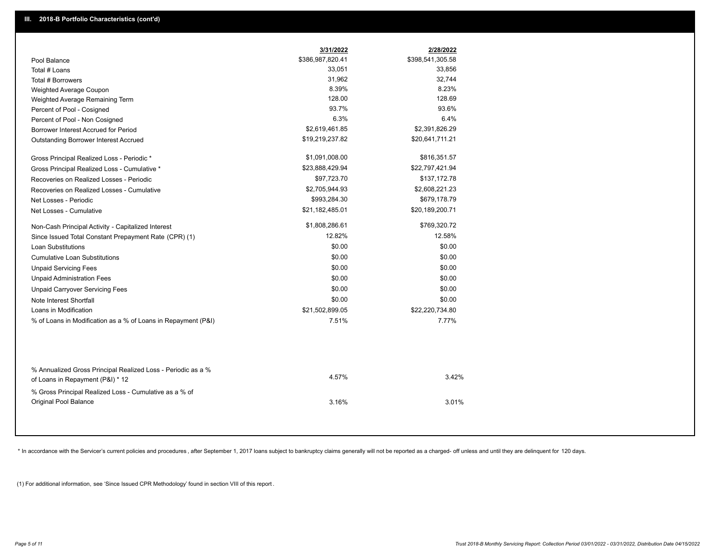|                                                                                        | 3/31/2022        | 2/28/2022        |
|----------------------------------------------------------------------------------------|------------------|------------------|
| Pool Balance                                                                           | \$386,987,820.41 | \$398,541,305.58 |
| Total # Loans                                                                          | 33,051           | 33,856           |
| Total # Borrowers                                                                      | 31,962           | 32,744           |
| Weighted Average Coupon                                                                | 8.39%            | 8.23%            |
| Weighted Average Remaining Term                                                        | 128.00           | 128.69           |
| Percent of Pool - Cosigned                                                             | 93.7%            | 93.6%            |
| Percent of Pool - Non Cosigned                                                         | 6.3%             | 6.4%             |
| Borrower Interest Accrued for Period                                                   | \$2,619,461.85   | \$2,391,826.29   |
| Outstanding Borrower Interest Accrued                                                  | \$19,219,237.82  | \$20,641,711.21  |
| Gross Principal Realized Loss - Periodic *                                             | \$1,091,008.00   | \$816,351.57     |
| Gross Principal Realized Loss - Cumulative *                                           | \$23,888,429.94  | \$22,797,421.94  |
| Recoveries on Realized Losses - Periodic                                               | \$97,723.70      | \$137,172.78     |
| Recoveries on Realized Losses - Cumulative                                             | \$2,705,944.93   | \$2,608,221.23   |
| Net Losses - Periodic                                                                  | \$993,284.30     | \$679,178.79     |
| Net Losses - Cumulative                                                                | \$21,182,485.01  | \$20,189,200.71  |
| Non-Cash Principal Activity - Capitalized Interest                                     | \$1,808,286.61   | \$769,320.72     |
| Since Issued Total Constant Prepayment Rate (CPR) (1)                                  | 12.82%           | 12.58%           |
| <b>Loan Substitutions</b>                                                              | \$0.00           | \$0.00           |
| <b>Cumulative Loan Substitutions</b>                                                   | \$0.00           | \$0.00           |
| <b>Unpaid Servicing Fees</b>                                                           | \$0.00           | \$0.00           |
| <b>Unpaid Administration Fees</b>                                                      | \$0.00           | \$0.00           |
| <b>Unpaid Carryover Servicing Fees</b>                                                 | \$0.00           | \$0.00           |
| Note Interest Shortfall                                                                | \$0.00           | \$0.00           |
| Loans in Modification                                                                  | \$21,502,899.05  | \$22,220,734.80  |
| % of Loans in Modification as a % of Loans in Repayment (P&I)                          | 7.51%            | 7.77%            |
| % Annualized Gross Principal Realized Loss - Periodic as a %                           |                  |                  |
| of Loans in Repayment (P&I) * 12                                                       | 4.57%            | 3.42%            |
| % Gross Principal Realized Loss - Cumulative as a % of<br><b>Original Pool Balance</b> | 3.16%            | 3.01%            |

\* In accordance with the Servicer's current policies and procedures, after September 1, 2017 loans subject to bankruptcy claims generally will not be reported as a charged- off unless and until they are delinquent for 120

(1) For additional information, see 'Since Issued CPR Methodology' found in section VIII of this report .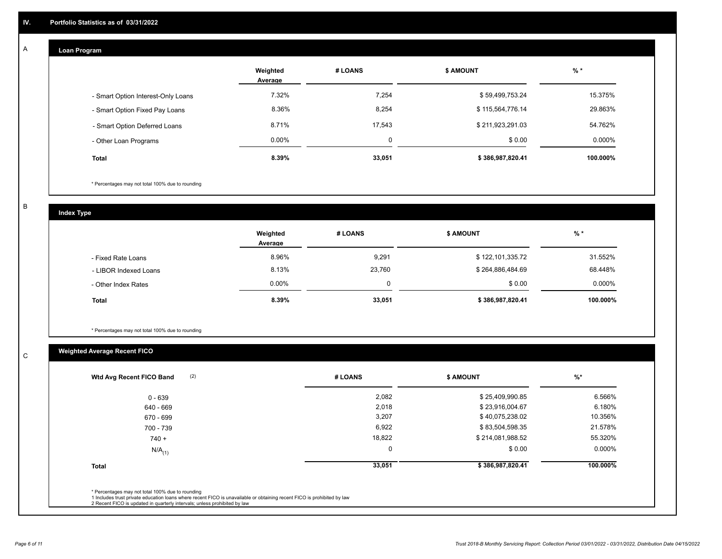# **Loan Program**

A

|                                    | Weighted<br>Average | # LOANS | <b>\$ AMOUNT</b> | $%$ *     |
|------------------------------------|---------------------|---------|------------------|-----------|
| - Smart Option Interest-Only Loans | 7.32%               | 7,254   | \$59,499,753.24  | 15.375%   |
| - Smart Option Fixed Pay Loans     | 8.36%               | 8,254   | \$115,564,776.14 | 29.863%   |
| - Smart Option Deferred Loans      | 8.71%               | 17,543  | \$211,923,291.03 | 54.762%   |
| - Other Loan Programs              | $0.00\%$            | 0       | \$0.00           | $0.000\%$ |
| Total                              | 8.39%               | 33,051  | \$386,987,820.41 | 100.000%  |

\* Percentages may not total 100% due to rounding

B

C

**Index Type**

|                       | Weighted<br>Average | # LOANS | <b>\$ AMOUNT</b> | $%$ *     |
|-----------------------|---------------------|---------|------------------|-----------|
| - Fixed Rate Loans    | 8.96%               | 9,291   | \$122,101,335.72 | 31.552%   |
| - LIBOR Indexed Loans | 8.13%               | 23,760  | \$264,886,484.69 | 68.448%   |
| - Other Index Rates   | $0.00\%$            |         | \$0.00           | $0.000\%$ |
| <b>Total</b>          | 8.39%               | 33,051  | \$386,987,820.41 | 100.000%  |

\* Percentages may not total 100% due to rounding

# **Weighted Average Recent FICO**

| (2)<br>Wtd Avg Recent FICO Band | # LOANS     | <b>\$ AMOUNT</b> | $%$ *    |
|---------------------------------|-------------|------------------|----------|
| $0 - 639$                       | 2,082       | \$25,409,990.85  | 6.566%   |
| 640 - 669                       | 2,018       | \$23,916,004.67  | 6.180%   |
| 670 - 699                       | 3,207       | \$40,075,238.02  | 10.356%  |
| 700 - 739                       | 6,922       | \$83,504,598.35  | 21.578%  |
| $740 +$                         | 18,822      | \$214,081,988.52 | 55.320%  |
| $N/A$ <sub>(1)</sub>            | $\mathbf 0$ | \$0.00           | 0.000%   |
| <b>Total</b>                    | 33,051      | \$386,987,820.41 | 100.000% |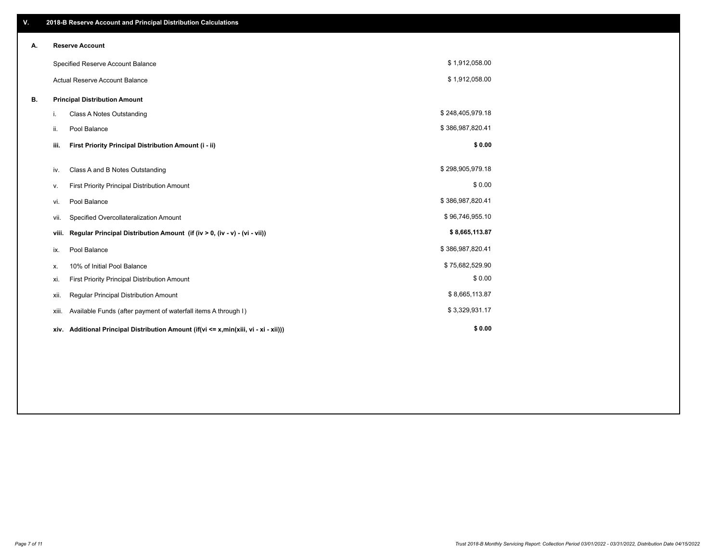| V. |                                      | 2018-B Reserve Account and Principal Distribution Calculations                  |                  |  |
|----|--------------------------------------|---------------------------------------------------------------------------------|------------------|--|
| А. |                                      | <b>Reserve Account</b>                                                          |                  |  |
|    |                                      | Specified Reserve Account Balance                                               | \$1,912,058.00   |  |
|    |                                      | <b>Actual Reserve Account Balance</b>                                           | \$1,912,058.00   |  |
| В. | <b>Principal Distribution Amount</b> |                                                                                 |                  |  |
|    | i.                                   | <b>Class A Notes Outstanding</b>                                                | \$248,405,979.18 |  |
|    | ii.                                  | Pool Balance                                                                    | \$386,987,820.41 |  |
|    | iii.                                 | First Priority Principal Distribution Amount (i - ii)                           | \$0.00           |  |
|    | iv.                                  | Class A and B Notes Outstanding                                                 | \$298,905,979.18 |  |
|    |                                      |                                                                                 | \$0.00           |  |
|    | ٧.                                   | First Priority Principal Distribution Amount                                    |                  |  |
|    | vi.                                  | Pool Balance                                                                    | \$386,987,820.41 |  |
|    | vii.                                 | Specified Overcollateralization Amount                                          | \$96,746,955.10  |  |
|    | viii.                                | Regular Principal Distribution Amount (if (iv > 0, (iv - v) - (vi - vii))       | \$8,665,113.87   |  |
|    | ix.                                  | Pool Balance                                                                    | \$386,987,820.41 |  |
|    | х.                                   | 10% of Initial Pool Balance                                                     | \$75,682,529.90  |  |
|    | xi.                                  | First Priority Principal Distribution Amount                                    | \$0.00           |  |
|    | xii.                                 | Regular Principal Distribution Amount                                           | \$8,665,113.87   |  |
|    | xiii.                                | Available Funds (after payment of waterfall items A through I)                  | \$3,329,931.17   |  |
|    | xiv.                                 | Additional Principal Distribution Amount (if(vi <= x,min(xiii, vi - xi - xii))) | \$0.00           |  |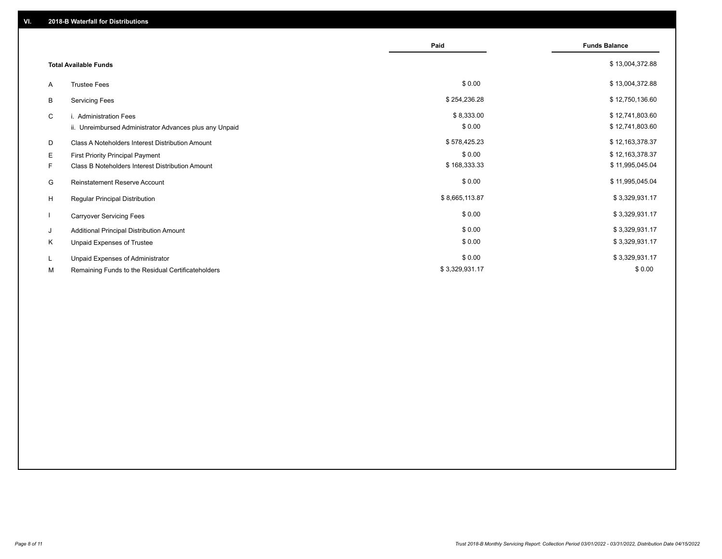|                              |                                                         | Paid           | <b>Funds Balance</b> |
|------------------------------|---------------------------------------------------------|----------------|----------------------|
|                              |                                                         |                |                      |
| <b>Total Available Funds</b> |                                                         |                | \$13,004,372.88      |
| A                            | <b>Trustee Fees</b>                                     | \$0.00         | \$13,004,372.88      |
| B                            | <b>Servicing Fees</b>                                   | \$254,236.28   | \$12,750,136.60      |
| C                            | i. Administration Fees                                  | \$8,333.00     | \$12,741,803.60      |
|                              | ii. Unreimbursed Administrator Advances plus any Unpaid | \$0.00         | \$12,741,803.60      |
| D                            | Class A Noteholders Interest Distribution Amount        | \$578,425.23   | \$12,163,378.37      |
| Е                            | <b>First Priority Principal Payment</b>                 | \$0.00         | \$12,163,378.37      |
| F.                           | Class B Noteholders Interest Distribution Amount        | \$168,333.33   | \$11,995,045.04      |
| G                            | <b>Reinstatement Reserve Account</b>                    | \$0.00         | \$11,995,045.04      |
| H                            | Regular Principal Distribution                          | \$8,665,113.87 | \$3,329,931.17       |
|                              | <b>Carryover Servicing Fees</b>                         | \$0.00         | \$3,329,931.17       |
| J                            | Additional Principal Distribution Amount                | \$0.00         | \$3,329,931.17       |
| Κ                            | Unpaid Expenses of Trustee                              | \$0.00         | \$3,329,931.17       |
| L.                           | Unpaid Expenses of Administrator                        | \$0.00         | \$3,329,931.17       |
| М                            | Remaining Funds to the Residual Certificateholders      | \$3,329,931.17 | \$0.00               |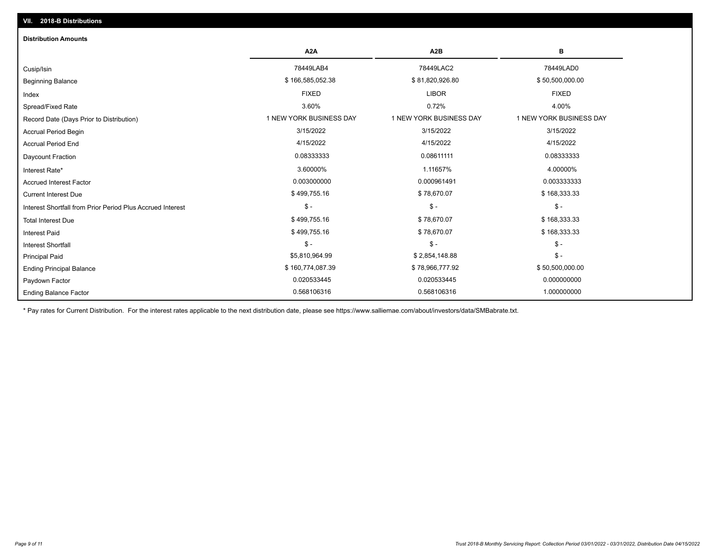| <b>Distribution Amounts</b>                                |                         |                         |                         |  |  |  |
|------------------------------------------------------------|-------------------------|-------------------------|-------------------------|--|--|--|
|                                                            | A <sub>2</sub> A        | A <sub>2</sub> B        | в                       |  |  |  |
| Cusip/Isin                                                 | 78449LAB4               | 78449LAC2               | 78449LAD0               |  |  |  |
| <b>Beginning Balance</b>                                   | \$166,585,052.38        | \$81,820,926.80         | \$50,500,000.00         |  |  |  |
| Index                                                      | <b>FIXED</b>            | <b>LIBOR</b>            | <b>FIXED</b>            |  |  |  |
| Spread/Fixed Rate                                          | 3.60%                   | 0.72%                   | 4.00%                   |  |  |  |
| Record Date (Days Prior to Distribution)                   | 1 NEW YORK BUSINESS DAY | 1 NEW YORK BUSINESS DAY | 1 NEW YORK BUSINESS DAY |  |  |  |
| Accrual Period Begin                                       | 3/15/2022               | 3/15/2022               | 3/15/2022               |  |  |  |
| <b>Accrual Period End</b>                                  | 4/15/2022               | 4/15/2022               | 4/15/2022               |  |  |  |
| Daycount Fraction                                          | 0.08333333              | 0.08611111              | 0.08333333              |  |  |  |
| Interest Rate*                                             | 3.60000%                | 1.11657%                | 4.00000%                |  |  |  |
| <b>Accrued Interest Factor</b>                             | 0.003000000             | 0.000961491             | 0.003333333             |  |  |  |
| <b>Current Interest Due</b>                                | \$499,755.16            | \$78,670.07             | \$168,333.33            |  |  |  |
| Interest Shortfall from Prior Period Plus Accrued Interest | $\frac{1}{2}$           | $$ -$                   | $$ -$                   |  |  |  |
| <b>Total Interest Due</b>                                  | \$499,755.16            | \$78,670.07             | \$168,333.33            |  |  |  |
| <b>Interest Paid</b>                                       | \$499,755.16            | \$78,670.07             | \$168,333.33            |  |  |  |
| Interest Shortfall                                         | $\mathsf{\$}$ -         | $$ -$                   | $$ -$                   |  |  |  |
| <b>Principal Paid</b>                                      | \$5,810,964.99          | \$2,854,148.88          | $$ -$                   |  |  |  |
| <b>Ending Principal Balance</b>                            | \$160,774,087.39        | \$78,966,777.92         | \$50,500,000.00         |  |  |  |
| Paydown Factor                                             | 0.020533445             | 0.020533445             | 0.000000000             |  |  |  |
| <b>Ending Balance Factor</b>                               | 0.568106316             | 0.568106316             | 1.000000000             |  |  |  |

\* Pay rates for Current Distribution. For the interest rates applicable to the next distribution date, please see https://www.salliemae.com/about/investors/data/SMBabrate.txt.

**VII. 2018-B Distributions**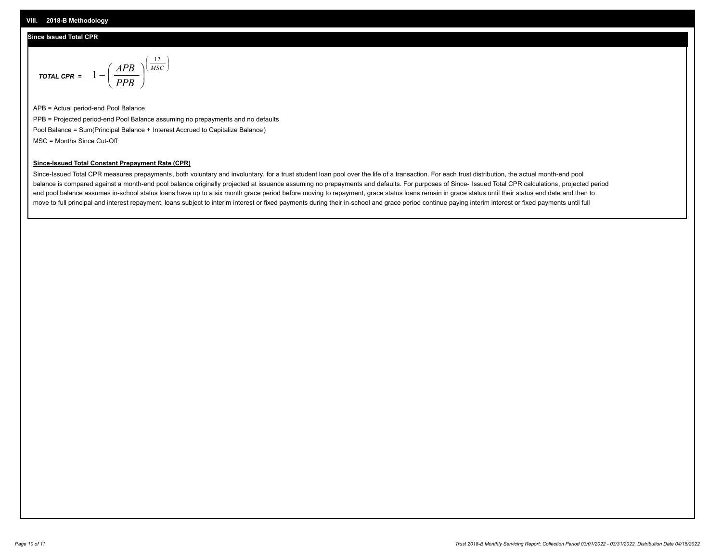## **Since Issued Total CPR**

$$
\text{total cPR} = 1 - \left(\frac{APB}{PPB}\right)^{\left(\frac{12}{MSC}\right)}
$$

APB = Actual period-end Pool Balance PPB = Projected period-end Pool Balance assuming no prepayments and no defaults Pool Balance = Sum(Principal Balance + Interest Accrued to Capitalize Balance) MSC = Months Since Cut-Off

I J Ι

### **Since-Issued Total Constant Prepayment Rate (CPR)**

Since-Issued Total CPR measures prepayments, both voluntary and involuntary, for a trust student loan pool over the life of a transaction. For each trust distribution, the actual month-end pool balance is compared against a month-end pool balance originally projected at issuance assuming no prepayments and defaults. For purposes of Since- Issued Total CPR calculations, projected period end pool balance assumes in-school status loans have up to a six month grace period before moving to repayment, grace status loans remain in grace status until their status end date and then to move to full principal and interest repayment, loans subject to interim interest or fixed payments during their in-school and grace period continue paying interim interest or fixed payments until full